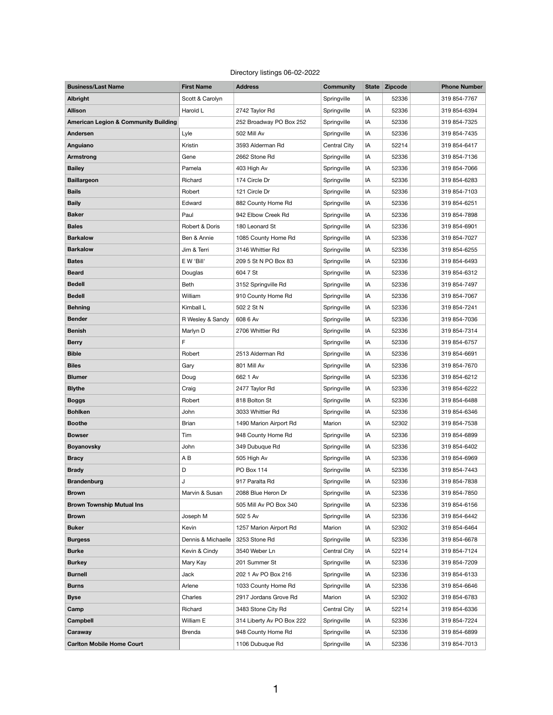## Directory listings 06-02-2022

| <b>Business/Last Name</b>                       | <b>First Name</b> | <b>Address</b>          | <b>Community</b> |    | State Zipcode | <b>Phone Number</b> |
|-------------------------------------------------|-------------------|-------------------------|------------------|----|---------------|---------------------|
| <b>Albright</b>                                 | Scott & Carolyn   |                         | Springville      | IA | 52336         | 319 854-7767        |
| <b>Allison</b>                                  | Harold L          | 2742 Taylor Rd          | Springville      | IA | 52336         | 319 854-6394        |
| <b>American Legion &amp; Community Building</b> |                   | 252 Broadway PO Box 252 | Springville      | IA | 52336         | 319 854-7325        |
| <b>Andersen</b>                                 | Lyle              | 502 Mill Av             | Springville      | IA | 52336         | 319 854-7435        |
| <b>Anguiano</b>                                 | Kristin           | 3593 Alderman Rd        | Central City     | IA | 52214         | 319 854-6417        |
| <b>Armstrong</b>                                | Gene              | 2662 Stone Rd           | Springville      | IA | 52336         | 319 854-7136        |
| <b>Bailey</b>                                   | Pamela            | 403 High Av             | Springville      | IA | 52336         | 319 854-7066        |
| <b>Baillargeon</b>                              | Richard           | 174 Circle Dr           | Springville      | IA | 52336         | 319 854-6283        |
| <b>Bails</b>                                    | Robert            | 121 Circle Dr           | Springville      | IA | 52336         | 319 854-7103        |
| <b>Baily</b>                                    | Edward            | 882 County Home Rd      | Springville      | IA | 52336         | 319 854-6251        |
| <b>Baker</b>                                    | Paul              | 942 Elbow Creek Rd      | Springville      | IA | 52336         | 319 854-7898        |
| <b>Bales</b>                                    | Robert & Doris    | 180 Leonard St          | Springville      | IA | 52336         | 319 854-6901        |
| <b>Barkalow</b>                                 | Ben & Annie       | 1085 County Home Rd     | Springville      | IA | 52336         | 319 854-7027        |
| <b>Barkalow</b>                                 | Jim & Terri       | 3146 Whittier Rd        | Springville      | IA | 52336         | 319 854-6255        |
| <b>Bates</b>                                    | E W 'Bill'        | 209 5 St N PO Box 83    | Springville      | IA | 52336         | 319 854-6493        |
| <b>Beard</b>                                    | Douglas           | 604 7 St                | Springville      | IA | 52336         | 319 854-6312        |
| <b>Bedell</b>                                   | <b>Beth</b>       | 3152 Springville Rd     | Springville      | IA | 52336         | 319 854-7497        |
| <b>Bedell</b>                                   | William           | 910 County Home Rd      | Springville      | IA | 52336         | 319 854-7067        |
| <b>Behning</b>                                  | Kimball L         | 502 2 St N              | Springville      | IA | 52336         | 319 854-7241        |
| <b>Bender</b>                                   | R Wesley & Sandy  | 608 6 Av                | Springville      | IA | 52336         | 319 854-7036        |
| <b>Benish</b>                                   | Marlyn D          | 2706 Whittier Rd        | Springville      | IA | 52336         | 319 854-7314        |
| <b>Berry</b>                                    | F                 |                         | Springville      | IA | 52336         | 319 854-6757        |
| <b>Bible</b>                                    | Robert            | 2513 Alderman Rd        | Springville      | IA | 52336         | 319 854-6691        |
| <b>Biles</b>                                    | Gary              | 801 Mill Av             | Springville      | IA | 52336         | 319 854-7670        |
| <b>Blumer</b>                                   | Doug              | 662 1 Av                | Springville      | IA | 52336         | 319 854-6212        |
| <b>Blythe</b>                                   | Craig             | 2477 Taylor Rd          | Springville      | IA | 52336         | 319 854-6222        |
| <b>Boggs</b>                                    | Robert            | 818 Bolton St           | Springville      | IA | 52336         | 319 854-6488        |
| <b>Bohlken</b>                                  | John              | 3033 Whittier Rd        | Springville      | IA | 52336         | 319 854-6346        |
| <b>Boothe</b>                                   | <b>Brian</b>      | 1490 Marion Airport Rd  | Marion           | IA | 52302         | 319 854-7538        |
| <b>Bowser</b>                                   | Tim               | 948 County Home Rd      | Springville      | IA | 52336         | 319 854-6899        |
| <b>Boyanovsky</b>                               | John              | 349 Dubuque Rd          | Springville      | IA | 52336         | 319 854-6402        |
| <b>Bracy</b>                                    | AB                | 505 High Av             | Springville      | IA | 52336         | 319 854-6969        |
| <b>Brady</b>                                    | D                 | PO Box 114              | Springville      | IA | 52336         | 319 854-7443        |
| <b>Brandenburg</b>                              | J                 | 917 Paralta Rd          | Springville      | IA | 52336         | 319 854-7838        |
| <b>Brown</b>                                    | Marvin & Susan    | 2088 Blue Heron Dr      | Springville      | IA | 52336         | 319 854-7850        |
| <b>Brown Township Mutual Ins</b>                |                   | 505 Mill Av PO Box 340  | Springville      | IA | 52336         | 319 854-6156        |

| <b>Buker</b>                     | Kevin              | 1257 Marion Airport Rd    | Marion       | IA | 52302 | 319 854-6464 |
|----------------------------------|--------------------|---------------------------|--------------|----|-------|--------------|
| <b>Burgess</b>                   | Dennis & Michaelle | 3253 Stone Rd             | Springville  | IA | 52336 | 319 854-6678 |
| <b>Burke</b>                     | Kevin & Cindy      | 3540 Weber Ln             | Central City | IA | 52214 | 319 854-7124 |
| <b>Burkey</b>                    | Mary Kay           | 201 Summer St             | Springville  | IA | 52336 | 319 854-7209 |
| <b>Burnell</b>                   | Jack               | 202 1 Av PO Box 216       | Springville  | IA | 52336 | 319 854-6133 |
| <b>Burns</b>                     | Arlene             | 1033 County Home Rd       | Springville  | IA | 52336 | 319 854-6646 |
| <b>Byse</b>                      | Charles            | 2917 Jordans Grove Rd     | Marion       | IA | 52302 | 319 854-6783 |
| Camp                             | Richard            | 3483 Stone City Rd        | Central City | IA | 52214 | 319 854-6336 |
| <b>Campbell</b>                  | William E          | 314 Liberty Av PO Box 222 | Springville  | IA | 52336 | 319 854-7224 |
| Caraway                          | <b>Brenda</b>      | 948 County Home Rd        | Springville  | IA | 52336 | 319 854-6899 |
| <b>Carlton Mobile Home Court</b> |                    | 1106 Dubuque Rd           | Springville  | IA | 52336 | 319 854-7013 |

1

**Brown** Joseph M 502 5 Av Springville IA 52336 319 854-6442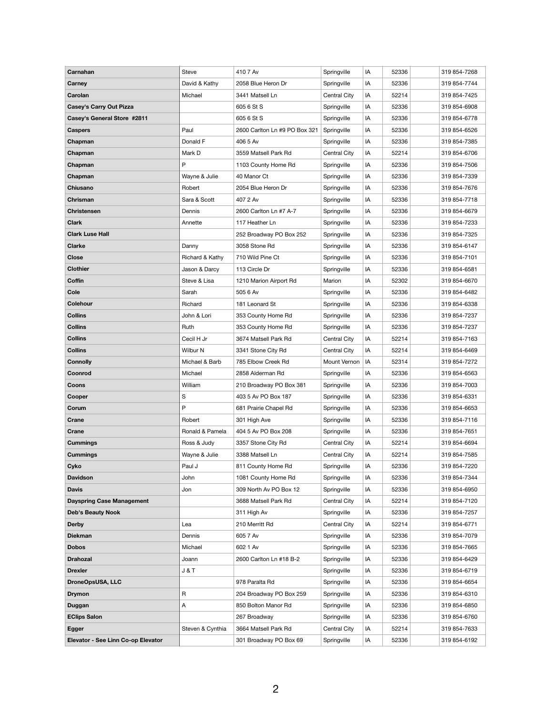| Carnahan                           | Steve            | 410 7 Av                      | Springville  | IA | 52336 | 319 854-7268 |
|------------------------------------|------------------|-------------------------------|--------------|----|-------|--------------|
| <b>Carney</b>                      | David & Kathy    | 2058 Blue Heron Dr            | Springville  | IA | 52336 | 319 854-7744 |
| Carolan                            | Michael          | 3441 Matsell Ln               | Central City | IA | 52214 | 319 854-7425 |
| <b>Casey's Carry Out Pizza</b>     |                  | 605 6 St S                    | Springville  | IA | 52336 | 319 854-6908 |
| <b>Casey's General Store #2811</b> |                  | 605 6 St S                    | Springville  | IA | 52336 | 319 854-6778 |
| <b>Caspers</b>                     | Paul             | 2600 Carlton Ln #9 PO Box 321 | Springville  | IA | 52336 | 319 854-6526 |
| Chapman                            | Donald F         | 406 5 Av                      | Springville  | IA | 52336 | 319 854-7385 |
| Chapman                            | Mark D           | 3559 Matsell Park Rd          | Central City | IA | 52214 | 319 854-6706 |
| Chapman                            | P                | 1103 County Home Rd           | Springville  | IA | 52336 | 319 854-7506 |
| Chapman                            | Wayne & Julie    | 40 Manor Ct                   | Springville  | IA | 52336 | 319 854-7339 |
| <b>Chiusano</b>                    | Robert           | 2054 Blue Heron Dr            | Springville  | IA | 52336 | 319 854-7676 |
| Chrisman                           | Sara & Scott     | 407 2 Av                      | Springville  | IA | 52336 | 319 854-7718 |
| <b>Christensen</b>                 | Dennis           | 2600 Carlton Ln #7 A-7        | Springville  | IA | 52336 | 319 854-6679 |
| <b>Clark</b>                       | Annette          | 117 Heather Ln                | Springville  | IA | 52336 | 319 854-7233 |
| <b>Clark Luse Hall</b>             |                  | 252 Broadway PO Box 252       | Springville  | IA | 52336 | 319 854-7325 |
| <b>Clarke</b>                      | Danny            | 3058 Stone Rd                 | Springville  | IA | 52336 | 319 854-6147 |
| <b>Close</b>                       | Richard & Kathy  | 710 Wild Pine Ct              | Springville  | IA | 52336 | 319 854-7101 |
| <b>Clothier</b>                    | Jason & Darcy    | 113 Circle Dr                 | Springville  | IA | 52336 | 319 854-6581 |
| <b>Coffin</b>                      | Steve & Lisa     | 1210 Marion Airport Rd        | Marion       | IA | 52302 | 319 854-6670 |
| <b>Cole</b>                        | Sarah            | 505 6 Av                      | Springville  | IA | 52336 | 319 854-6482 |
| <b>Colehour</b>                    | Richard          | 181 Leonard St                | Springville  | IA | 52336 | 319 854-6338 |
| <b>Collins</b>                     | John & Lori      | 353 County Home Rd            | Springville  | IA | 52336 | 319 854-7237 |
| <b>Collins</b>                     | Ruth             | 353 County Home Rd            | Springville  | IA | 52336 | 319 854-7237 |
| <b>Collins</b>                     | Cecil H Jr       | 3674 Matsell Park Rd          | Central City | IA | 52214 | 319 854-7163 |
| <b>Collins</b>                     | Wilbur N         | 3341 Stone City Rd            | Central City | IA | 52214 | 319 854-6469 |
| <b>Connolly</b>                    | Michael & Barb   | 785 Elbow Creek Rd            | Mount Vernon | IA | 52314 | 319 854-7272 |
| Coonrod                            | Michael          | 2858 Alderman Rd              | Springville  | IA | 52336 | 319 854-6563 |
| <b>Coons</b>                       | William          | 210 Broadway PO Box 381       | Springville  | IA | 52336 | 319 854-7003 |
| Cooper                             | $\mathbf S$      | 403 5 Av PO Box 187           | Springville  | IA | 52336 | 319 854-6331 |
| Corum                              | P                | 681 Prairie Chapel Rd         | Springville  | IA | 52336 | 319 854-6653 |
| <b>Crane</b>                       | Robert           | 301 High Ave                  | Springville  | IA | 52336 | 319 854-7116 |
| <b>Crane</b>                       | Ronald & Pamela  | 404 5 Av PO Box 208           | Springville  | IA | 52336 | 319 854-7651 |
| <b>Cummings</b>                    | Ross & Judy      | 3357 Stone City Rd            | Central City | IA | 52214 | 319 854-6694 |
| <b>Cummings</b>                    | Wayne & Julie    | 3388 Matsell Ln               | Central City | IA | 52214 | 319 854-7585 |
| Cyko                               | Paul J           | 811 County Home Rd            | Springville  | IA | 52336 | 319 854-7220 |
| <b>Davidson</b>                    | John             | 1081 County Home Rd           | Springville  | IA | 52336 | 319 854-7344 |
| <b>Davis</b>                       | Jon              | 309 North Av PO Box 12        | Springville  | IA | 52336 | 319 854-6950 |
| <b>Dayspring Case Management</b>   |                  | 3688 Matsell Park Rd          | Central City | IA | 52214 | 319 854-7120 |
| <b>Deb's Beauty Nook</b>           |                  | 311 High Av                   | Springville  | IA | 52336 | 319 854-7257 |
| <b>Derby</b>                       | Lea              | 210 Merritt Rd                | Central City | IA | 52214 | 319 854-6771 |
| <b>Diekman</b>                     | Dennis           | 605 7 Av                      | Springville  | IA | 52336 | 319 854-7079 |
| <b>Dobos</b>                       | Michael          | 602 1 Av                      | Springville  | IA | 52336 | 319 854-7665 |
| <b>Drahozal</b>                    | Joann            | 2600 Carlton Ln #18 B-2       | Springville  | IA | 52336 | 319 854-6429 |
| <b>Drexler</b>                     | J&T              |                               | Springville  | IA | 52336 | 319 854-6719 |
| <b>DroneOpsUSA, LLC</b>            |                  | 978 Paralta Rd                | Springville  | IA | 52336 | 319 854-6654 |
| <b>Drymon</b>                      | R                | 204 Broadway PO Box 259       | Springville  | IA | 52336 | 319 854-6310 |
| <b>Duggan</b>                      | A                | 850 Bolton Manor Rd           | Springville  | IA | 52336 | 319 854-6850 |
| <b>EClips Salon</b>                |                  | 267 Broadway                  | Springville  | IA | 52336 | 319 854-6760 |
| <b>Egger</b>                       | Steven & Cynthia | 3664 Matsell Park Rd          | Central City | IA | 52214 | 319 854-7633 |
| Elevator - See Linn Co-op Elevator |                  | 301 Broadway PO Box 69        | Springville  | IA | 52336 | 319 854-6192 |
|                                    |                  |                               |              |    |       |              |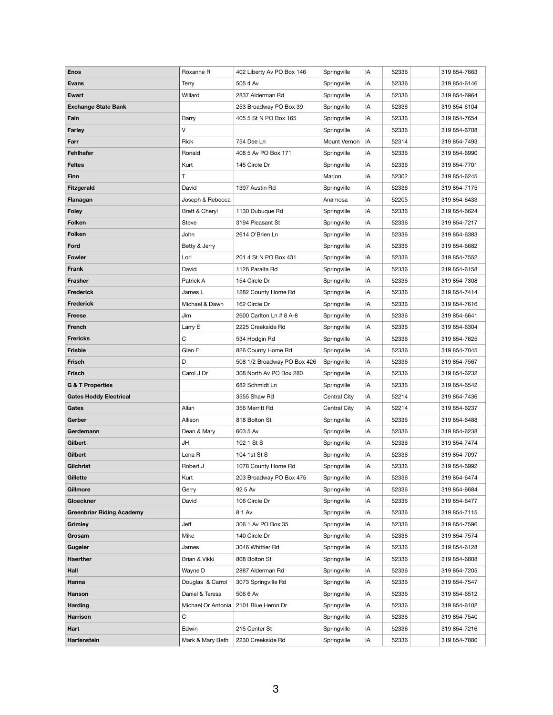| <b>Enos</b>                      | Roxanne R        | 402 Liberty Av PO Box 146               | Springville  | IA | 52336 | 319 854-7663 |
|----------------------------------|------------------|-----------------------------------------|--------------|----|-------|--------------|
| <b>Evans</b>                     | <b>Terry</b>     | 505 4 Av                                | Springville  | IA | 52336 | 319 854-6146 |
| <b>Ewart</b>                     | Willard          | 2837 Alderman Rd                        | Springville  | IA | 52336 | 319 854-6964 |
| <b>Exchange State Bank</b>       |                  | 253 Broadway PO Box 39                  | Springville  | IA | 52336 | 319 854-6104 |
| Fain                             | Barry            | 405 5 St N PO Box 165                   | Springville  | IA | 52336 | 319 854-7654 |
| <b>Farley</b>                    | V                |                                         | Springville  | IA | 52336 | 319 854-6708 |
| Farr                             | Rick             | 754 Dee Ln                              | Mount Vernon | IA | 52314 | 319 854-7493 |
| <b>Fehlhafer</b>                 | Ronald           | 408 5 Av PO Box 171                     | Springville  | IA | 52336 | 319 854-6990 |
| <b>Feltes</b>                    | Kurt             | 145 Circle Dr                           | Springville  | IA | 52336 | 319 854-7701 |
| <b>Finn</b>                      | Т                |                                         | Marion       | IA | 52302 | 319 854-6245 |
| <b>Fitzgerald</b>                | David            | 1397 Austin Rd                          | Springville  | IA | 52336 | 319 854-7175 |
| Flanagan                         | Joseph & Rebecca |                                         | Anamosa      | IA | 52205 | 319 854-6433 |
| <b>Foley</b>                     | Brett & Cheryl   | 1130 Dubuque Rd                         | Springville  | IA | 52336 | 319 854-6624 |
| <b>Folken</b>                    | <b>Steve</b>     | 3194 Pleasant St                        | Springville  | IA | 52336 | 319 854-7217 |
| <b>Folken</b>                    | John             | 2614 O'Brien Ln                         | Springville  | IA | 52336 | 319 854-6383 |
| Ford                             | Betty & Jerry    |                                         | Springville  | IA | 52336 | 319 854-6682 |
| <b>Fowler</b>                    | Lori             | 201 4 St N PO Box 431                   | Springville  | IA | 52336 | 319 854-7552 |
| <b>Frank</b>                     | David            | 1126 Paralta Rd                         | Springville  | IA | 52336 | 319 854-6158 |
| <b>Frasher</b>                   | Patrick A        | 154 Circle Dr                           | Springville  | IA | 52336 | 319 854-7308 |
| <b>Frederick</b>                 | James L          | 1282 County Home Rd                     | Springville  | IA | 52336 | 319 854-7414 |
| <b>Frederick</b>                 | Michael & Dawn   | 162 Circle Dr                           | Springville  | IA | 52336 | 319 854-7616 |
| <b>Freese</b>                    | Jim              | 2600 Carlton Ln # 8 A-8                 | Springville  | IA | 52336 | 319 854-6641 |
| <b>French</b>                    | Larry E          | 2225 Creekside Rd                       | Springville  | IA | 52336 | 319 854-6304 |
| <b>Frericks</b>                  | С                | 534 Hodgin Rd                           | Springville  | IA | 52336 | 319 854-7625 |
| <b>Frisbie</b>                   | Glen E           | 826 County Home Rd                      | Springville  | IA | 52336 | 319 854-7045 |
| <b>Frisch</b>                    | D                | 508 1/2 Broadway PO Box 426             | Springville  | IA | 52336 | 319 854-7567 |
| <b>Frisch</b>                    | Carol J Dr       | 308 North Av PO Box 280                 | Springville  | IA | 52336 | 319 854-6232 |
| <b>G &amp; T Properties</b>      |                  | 682 Schmidt Ln                          | Springville  | IA | 52336 | 319 854-6542 |
| <b>Gates Hoddy Electrical</b>    |                  | 3555 Shaw Rd                            | Central City | IA | 52214 | 319 854-7436 |
| Gates                            | Allan            | 356 Merritt Rd                          | Central City | IA | 52214 | 319 854-6237 |
| Gerber                           | Allison          | 818 Bolton St                           | Springville  | IA | 52336 | 319 854-6488 |
| Gerdemann                        | Dean & Mary      | 603 5 Av                                | Springville  | IA | 52336 | 319 854-6238 |
| <b>Gilbert</b>                   | JH               | 102 1 St S                              | Springville  | IA | 52336 | 319 854-7474 |
| <b>Gilbert</b>                   | Lena R           | 104 1st St S                            | Springville  | IA | 52336 | 319 854-7097 |
| <b>Gilchrist</b>                 | Robert J         | 1078 County Home Rd                     | Springville  | IA | 52336 | 319 854-6992 |
| Gillette                         | Kurt             | 203 Broadway PO Box 475                 | Springville  | IA | 52336 | 319 854-6474 |
| <b>Gillmore</b>                  | Gerry            | 92 5 Av                                 | Springville  | IA | 52336 | 319 854-6684 |
| Gloeckner                        | David            | 106 Circle Dr                           | Springville  | IA | 52336 | 319 854-6477 |
| <b>Greenbriar Riding Academy</b> |                  | 8 1 Av                                  | Springville  | IA | 52336 | 319 854-7115 |
| <b>Grimley</b>                   | Jeff             | 306 1 Av PO Box 35                      | Springville  | IA | 52336 | 319 854-7596 |
| Grosam                           | Mike             | 140 Circle Dr                           | Springville  | IA | 52336 | 319 854-7574 |
| <b>Gugeler</b>                   | James            | 3046 Whittier Rd                        | Springville  | IA | 52336 | 319 854-6128 |
| <b>Haerther</b>                  | Brian & Vikki    | 808 Bolton St                           | Springville  | IA | 52336 | 319 854-6808 |
| Hall                             | Wayne D          | 2887 Alderman Rd                        | Springville  | IA | 52336 | 319 854-7205 |
| <b>Hanna</b>                     | Douglas & Carrol | 3073 Springville Rd                     | Springville  | IA | 52336 | 319 854-7547 |
| <b>Hanson</b>                    | Daniel & Teresa  | 506 6 Av                                | Springville  | IA | 52336 | 319 854-6512 |
| <b>Harding</b>                   |                  | Michael Or Antonia   2101 Blue Heron Dr | Springville  | IA | 52336 | 319 854-6102 |
| <b>Harrison</b>                  | C                |                                         | Springville  | IA | 52336 | 319 854-7540 |
| Hart                             | Edwin            | 215 Center St                           | Springville  | IA | 52336 | 319 854-7216 |
| <b>Hartenstein</b>               | Mark & Mary Beth | 2230 Creekside Rd                       | Springville  | IA | 52336 | 319 854-7880 |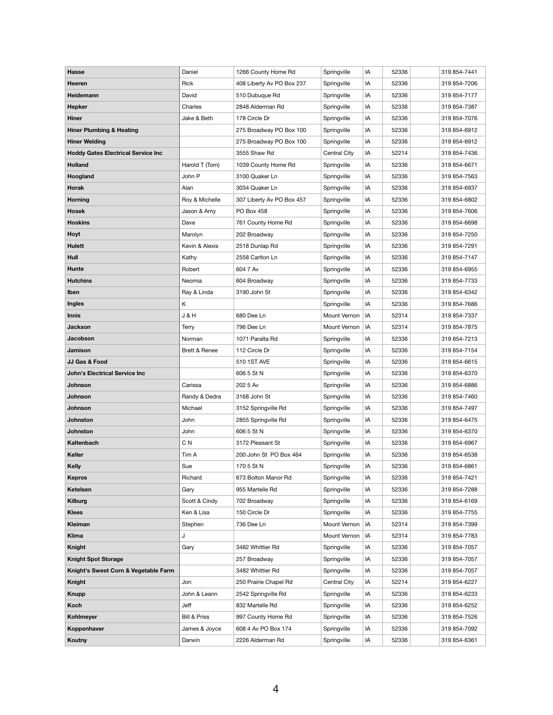| <b>Hasse</b>                              | Daniel                  | 1266 County Home Rd       | Springville  | IA | 52336 | 319 854-7441 |
|-------------------------------------------|-------------------------|---------------------------|--------------|----|-------|--------------|
| Heeren                                    | Rick                    | 408 Liberty Av PO Box 237 | Springville  | IA | 52336 | 319 854-7206 |
| <b>Heidemann</b>                          | David                   | 510 Dubuque Rd            | Springville  | IA | 52336 | 319 854-7177 |
| <b>Hepker</b>                             | Charles                 | 2848 Alderman Rd          | Springville  | IA | 52336 | 319 854-7387 |
| <b>Hiner</b>                              | Jake & Beth             | 178 Circle Dr             | Springville  | IA | 52336 | 319 854-7076 |
| <b>Hiner Plumbing &amp; Heating</b>       |                         | 275 Broadway PO Box 100   | Springville  | IA | 52336 | 319 854-6912 |
| <b>Hiner Welding</b>                      |                         | 275 Broadway PO Box 100   | Springville  | IA | 52336 | 319 854-6912 |
| <b>Hoddy Gates Electrical Service Inc</b> |                         | 3555 Shaw Rd              | Central City | IA | 52214 | 319 854-7436 |
| <b>Holland</b>                            | Harold T (Tom)          | 1039 County Home Rd       | Springville  | IA | 52336 | 319 854-6671 |
| Hoogland                                  | John P                  | 3100 Quaker Ln            | Springville  | IA | 52336 | 319 854-7563 |
| <b>Horak</b>                              | Alan                    | 3034 Quaker Ln            | Springville  | IA | 52336 | 319 854-6937 |
| <b>Horning</b>                            | Roy & Michelle          | 307 Liberty Av PO Box 457 | Springville  | IA | 52336 | 319 854-6802 |
| <b>Hosek</b>                              | Jason & Amy             | PO Box 458                | Springville  | IA | 52336 | 319 854-7606 |
| <b>Hoskins</b>                            | Dave                    | 761 County Home Rd        | Springville  | IA | 52336 | 319 854-6698 |
| Hoyt                                      | Marolyn                 | 202 Broadway              | Springville  | IA | 52336 | 319 854-7250 |
| <b>Hulett</b>                             | Kevin & Alexis          | 2518 Dunlap Rd            | Springville  | IA | 52336 | 319 854-7291 |
| Hull                                      | Kathy                   | 2558 Carlton Ln           | Springville  | IA | 52336 | 319 854-7147 |
| Hunte                                     | Robert                  | 604 7 Av                  | Springville  | IA | 52336 | 319 854-6955 |
| <b>Hutchins</b>                           | Neomia                  | 604 Broadway              | Springville  | IA | 52336 | 319 854-7733 |
| Iben                                      | Ray & Linda             | 3190 John St              | Springville  | IA | 52336 | 319 854-6342 |
| <b>Ingles</b>                             | K                       |                           | Springville  | IA | 52336 | 319 854-7686 |
| <b>Innis</b>                              | <b>J &amp; H</b>        | 680 Dee Ln                | Mount Vernon | IA | 52314 | 319 854-7337 |
| <b>Jackson</b>                            | Terry                   | 796 Dee Ln                | Mount Vernon | IA | 52314 | 319 854-7875 |
| Jacobson                                  | Norman                  | 1071 Paralta Rd           | Springville  | IA | 52336 | 319 854-7213 |
| Jamison                                   | Brett & Renee           | 112 Circle Dr             | Springville  | IA | 52336 | 319 854-7154 |
| JJ Gas & Food                             |                         | 510 1ST AVE               | Springville  | IA | 52336 | 319 854-6615 |
| <b>John's Electrical Service Inc</b>      |                         | 606 5 St N                | Springville  | IA | 52336 | 319 854-6370 |
| Johnson                                   | Carissa                 | 202 5 Av                  | Springville  | IA | 52336 | 319 854-6886 |
| Johnson                                   | Randy & Dedra           | 3168 John St              | Springville  | IA | 52336 | 319 854-7460 |
| Johnson                                   | Michael                 | 3152 Springville Rd       | Springville  | IA | 52336 | 319 854-7497 |
| <b>Johnston</b>                           | John                    | 2855 Springville Rd       | Springville  | IA | 52336 | 319 854-6475 |
| <b>Johnston</b>                           | John                    | 606 5 St N                | Springville  | IA | 52336 | 319 854-6370 |
| Kaltenbach                                | C <sub>N</sub>          | 3172 Pleasant St          | Springville  | IA | 52336 | 319 854-6967 |
| <b>Keller</b>                             | Tim A                   | 200 John St PO Box 464    | Springville  | IA | 52336 | 319 854-6538 |
| <b>Kelly</b>                              | Sue                     | 170 5 St N                | Springville  | IA | 52336 | 319 854-6861 |
| <b>Kepros</b>                             | Richard                 | 673 Bolton Manor Rd       | Springville  | IA | 52336 | 319 854-7421 |
| <b>Ketelsen</b>                           | Gary                    | 955 Martelle Rd           | Springville  | IA | 52336 | 319 854-7288 |
| <b>Kilburg</b>                            | Scott & Cindy           | 702 Broadway              | Springville  | IA | 52336 | 319 854-6169 |
| <b>Klees</b>                              | Ken & Lisa              | 150 Circle Dr             | Springville  | IA | 52336 | 319 854-7755 |
| <b>Kleiman</b>                            | Stephen                 | 736 Dee Ln                | Mount Vernon | IA | 52314 | 319 854-7399 |
| <b>Klima</b>                              | J                       |                           | Mount Vernon | IA | 52314 | 319 854-7783 |
| <b>Knight</b>                             | Gary                    | 3482 Whittier Rd          | Springville  | IA | 52336 | 319 854-7057 |
| <b>Knight Spot Storage</b>                |                         | 257 Broadway              | Springville  | IA | 52336 | 319 854-7057 |
| Knight's Sweet Corn & Vegetable Farm      |                         | 3482 Whittier Rd          | Springville  | IA | 52336 | 319 854-7057 |
| <b>Knight</b>                             | Jon                     | 250 Prairie Chapel Rd     | Central City | ΙA | 52214 | 319 854-6227 |
| <b>Knupp</b>                              | John & Leann            | 2542 Springville Rd       | Springville  | IA | 52336 | 319 854-6233 |
| Koch                                      | Jeff                    | 832 Martelle Rd           | Springville  | IA | 52336 | 319 854-6252 |
| Kohlmeyer                                 | <b>Bill &amp; Priss</b> | 997 County Home Rd        | Springville  | IA | 52336 | 319 854-7526 |
| Koppenhaver                               | James & Joyce           | 608 4 Av PO Box 174       | Springville  | IA | 52336 | 319 854-7092 |
| Koutny                                    | Darwin                  | 2226 Alderman Rd          | Springville  | IA | 52336 | 319 854-6361 |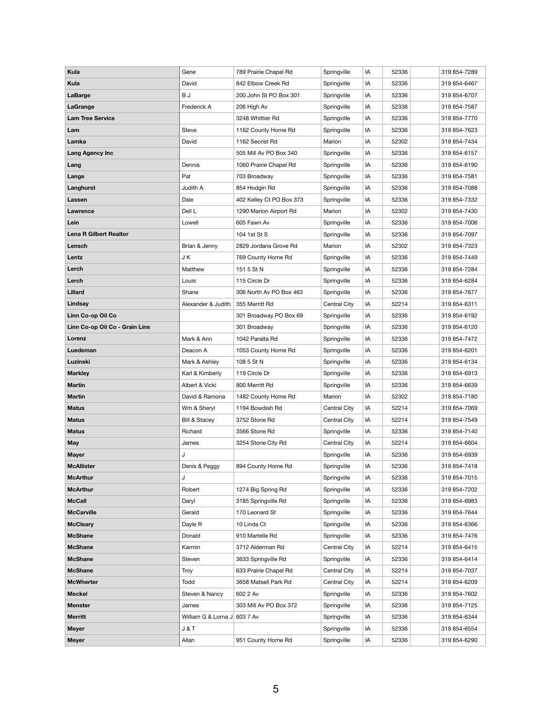| <b>Kula</b>                    | Gene                         | 789 Prairie Chapel Rd    | Springville  | IA | 52336 | 319 854-7289 |
|--------------------------------|------------------------------|--------------------------|--------------|----|-------|--------------|
| <b>Kula</b>                    | David                        | 842 Elbow Creek Rd       | Springville  | IA | 52336 | 319 854-6467 |
| <b>LaBarge</b>                 | B J                          | 200 John St PO Box 301   | Springville  | IA | 52336 | 319 854-6707 |
| <b>LaGrange</b>                | Frederick A                  | 206 High Av              | Springville  | IA | 52336 | 319 854-7587 |
| <b>Lam Tree Service</b>        |                              | 3248 Whittier Rd         | Springville  | IA | 52336 | 319 854-7770 |
| Lam                            | <b>Steve</b>                 | 1162 County Home Rd      | Springville  | IA | 52336 | 319 854-7623 |
| Lamka                          | David                        | 1162 Secrist Rd          | Marion       | IA | 52302 | 319 854-7434 |
| <b>Lang Agency Inc</b>         |                              | 505 Mill Av PO Box 340   | Springville  | IA | 52336 | 319 854-6157 |
| Lang                           | Dennis                       | 1060 Prairie Chapel Rd   | Springville  | IA | 52336 | 319 854-6190 |
| Lange                          | Pat                          | 703 Broadway             | Springville  | IA | 52336 | 319 854-7581 |
| Langhurst                      | Judith A                     | 854 Hodgin Rd            | Springville  | IA | 52336 | 319 854-7088 |
| Lassen                         | Dale                         | 402 Kelley Ct PO Box 373 | Springville  | IA | 52336 | 319 854-7332 |
| Lawrence                       | Dell L                       | 1290 Marion Airport Rd   | Marion       | IA | 52302 | 319 854-7430 |
| Lein                           | Lowell                       | 605 Fawn Av              | Springville  | IA | 52336 | 319 854-7006 |
| <b>Lena R Gilbert Realtor</b>  |                              | 104 1st St S             | Springville  | IA | 52336 | 319 854-7097 |
| Lensch                         | Brian & Jenny                | 2829 Jordans Grove Rd    | Marion       | IA | 52302 | 319 854-7323 |
| Lentz                          | J K                          | 769 County Home Rd       | Springville  | IA | 52336 | 319 854-7449 |
| Lerch                          | Matthew                      | 151 5 St N               | Springville  | IA | 52336 | 319 854-7284 |
| Lerch                          | Louis                        | 115 Circle Dr            | Springville  | IA | 52336 | 319 854-6284 |
| Lillard                        | Shane                        | 306 North Av PO Box 463  | Springville  | IA | 52336 | 319 854-7677 |
| Lindsay                        | Alexander & Judith           | 355 Merritt Rd           | Central City | IA | 52214 | 319 854-6311 |
| Linn Co-op Oil Co              |                              | 301 Broadway PO Box 69   | Springville  | IA | 52336 | 319 854-6192 |
| Linn Co-op Oil Co - Grain Line |                              | 301 Broadway             | Springville  | IA | 52336 | 319 854-6120 |
| Lorenz                         | Mark & Ann                   | 1042 Paralta Rd          | Springville  | IA | 52336 | 319 854-7472 |
| Luedeman                       | Deacon A                     | 1053 County Home Rd      | Springville  | IA | 52336 | 319 854-6201 |
| Luzinski                       | Mark & Ashley                | 108 5 St N               | Springville  | IA | 52336 | 319 854-6134 |
| <b>Markley</b>                 | Karl & Kimberly              | 119 Circle Dr            | Springville  | IA | 52336 | 319 854-6913 |
| <b>Martin</b>                  | Albert & Vicki               | 800 Merritt Rd           | Springville  | IA | 52336 | 319 854-6639 |
| <b>Martin</b>                  | David & Ramona               | 1482 County Home Rd      | Marion       | IA | 52302 | 319 854-7180 |
| <b>Matus</b>                   | Wm & Sheryl                  | 1194 Bowdish Rd          | Central City | IA | 52214 | 319 854-7069 |
| <b>Matus</b>                   | <b>Bill &amp; Stacey</b>     | 3752 Stone Rd            | Central City | IA | 52214 | 319 854-7549 |
| <b>Matus</b>                   | Richard                      | 3566 Stone Rd            | Springville  | IA | 52336 | 319 854-7140 |
| <b>May</b>                     | James                        | 3254 Stone City Rd       | Central City | IA | 52214 | 319 854-6604 |
| <b>Mayer</b>                   | J                            |                          | Springville  | IA | 52336 | 319 854-6939 |
| <b>McAllister</b>              | Denis & Peggy                | 894 County Home Rd       | Springville  | IA | 52336 | 319 854-7418 |
| <b>McArthur</b>                | J                            |                          | Springville  | IA | 52336 | 319 854-7015 |
| <b>McArthur</b>                | Robert                       | 1274 Big Spring Rd       | Springville  | IA | 52336 | 319 854-7202 |
| <b>McCall</b>                  | Daryl                        | 3185 Springville Rd      | Springville  | IA | 52336 | 319 854-6983 |
| <b>McCarville</b>              | Gerald                       | 170 Leonard St           | Springville  | IA | 52336 | 319 854-7644 |
| <b>McCleary</b>                | Dayle R                      | 10 Linda Ct              | Springville  | IA | 52336 | 319 854-6366 |
| <b>McShane</b>                 | Donald                       | 910 Martelle Rd          | Springville  | IA | 52336 | 319 854-7476 |
| <b>McShane</b>                 | Karmin                       | 3712 Alderman Rd         | Central City | IA | 52214 | 319 854-6415 |
| <b>McShane</b>                 | Steven                       | 3633 Springville Rd      | Springville  | IA | 52336 | 319 854-6414 |
| <b>McShane</b>                 | <b>Troy</b>                  | 633 Prairie Chapel Rd    | Central City | IA | 52214 | 319 854-7037 |
| <b>McWherter</b>               | Todd                         | 3658 Matsell Park Rd     | Central City | IA | 52214 | 319 854-6209 |
| <b>Meckel</b>                  | Steven & Nancy               | 602 2 Av                 | Springville  | IA | 52336 | 319 854-7602 |
| <b>Menster</b>                 | James                        | 303 Mill Av PO Box 372   | Springville  | IA | 52336 | 319 854-7125 |
| <b>Merritt</b>                 | William G & Lorna J 603 7 Av |                          | Springville  | IA | 52336 | 319 854-6344 |
| <b>Meyer</b>                   | J & T                        |                          | Springville  | IA | 52336 | 319 854-6554 |
| <b>Meyer</b>                   | Allan                        | 951 County Home Rd       | Springville  | IA | 52336 | 319 854-6290 |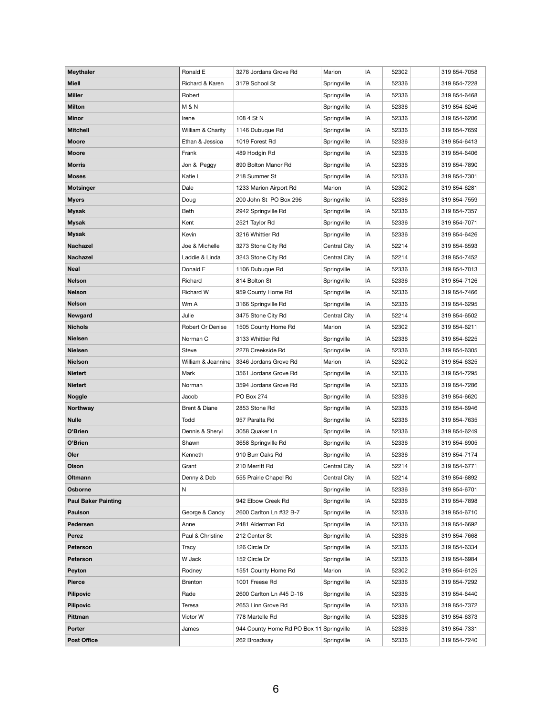| <b>Meythaler</b>           | Ronald E           | 3278 Jordans Grove Rd                    | Marion       | IA | 52302 | 319 854-7058 |
|----------------------------|--------------------|------------------------------------------|--------------|----|-------|--------------|
| <b>Miell</b>               | Richard & Karen    | 3179 School St                           | Springville  | IA | 52336 | 319 854-7228 |
| <b>Miller</b>              | Robert             |                                          | Springville  | IA | 52336 | 319 854-6468 |
| <b>Milton</b>              | <b>M&amp;N</b>     |                                          | Springville  | IA | 52336 | 319 854-6246 |
| <b>Minor</b>               | Irene              | 108 4 St N                               | Springville  | IA | 52336 | 319 854-6206 |
| <b>Mitchell</b>            | William & Charity  | 1146 Dubuque Rd                          | Springville  | IA | 52336 | 319 854-7659 |
| <b>Moore</b>               | Ethan & Jessica    | 1019 Forest Rd                           | Springville  | IA | 52336 | 319 854-6413 |
| <b>Moore</b>               | Frank              | 489 Hodgin Rd                            | Springville  | IA | 52336 | 319 854-6406 |
| <b>Morris</b>              | Jon & Peggy        | 890 Bolton Manor Rd                      | Springville  | IA | 52336 | 319 854-7890 |
| <b>Moses</b>               | Katie L            | 218 Summer St                            | Springville  | IA | 52336 | 319 854-7301 |
| <b>Motsinger</b>           | Dale               | 1233 Marion Airport Rd                   | Marion       | IA | 52302 | 319 854-6281 |
| <b>Myers</b>               | Doug               | 200 John St PO Box 296                   | Springville  | IA | 52336 | 319 854-7559 |
| <b>Mysak</b>               | Beth               | 2942 Springville Rd                      | Springville  | IA | 52336 | 319 854-7357 |
| <b>Mysak</b>               | Kent               | 2521 Taylor Rd                           | Springville  | IA | 52336 | 319 854-7071 |
| <b>Mysak</b>               | Kevin              | 3216 Whittier Rd                         | Springville  | IA | 52336 | 319 854-6426 |
| <b>Nachazel</b>            | Joe & Michelle     | 3273 Stone City Rd                       | Central City | IA | 52214 | 319 854-6593 |
| <b>Nachazel</b>            | Laddie & Linda     | 3243 Stone City Rd                       | Central City | IA | 52214 | 319 854-7452 |
| <b>Neal</b>                | Donald E           | 1106 Dubuque Rd                          | Springville  | IA | 52336 | 319 854-7013 |
| <b>Nelson</b>              | Richard            | 814 Bolton St                            | Springville  | IA | 52336 | 319 854-7126 |
| <b>Nelson</b>              | <b>Richard W</b>   | 959 County Home Rd                       | Springville  | IA | 52336 | 319 854-7466 |
| <b>Nelson</b>              | Wm A               | 3166 Springville Rd                      | Springville  | IA | 52336 | 319 854-6295 |
| <b>Newgard</b>             | Julie              | 3475 Stone City Rd                       | Central City | IA | 52214 | 319 854-6502 |
| <b>Nichols</b>             | Robert Or Denise   | 1505 County Home Rd                      | Marion       | IA | 52302 | 319 854-6211 |
| <b>Nielsen</b>             | Norman C           | 3133 Whittier Rd                         | Springville  | IA | 52336 | 319 854-6225 |
| <b>Nielsen</b>             | <b>Steve</b>       | 2278 Creekside Rd                        | Springville  | IA | 52336 | 319 854-6305 |
| <b>Nielson</b>             | William & Jeannine | 3346 Jordans Grove Rd                    | Marion       | IA | 52302 | 319 854-6325 |
| <b>Nietert</b>             | Mark               | 3561 Jordans Grove Rd                    | Springville  | IA | 52336 | 319 854-7295 |
| <b>Nietert</b>             | Norman             | 3594 Jordans Grove Rd                    | Springville  | IA | 52336 | 319 854-7286 |
| <b>Noggle</b>              | Jacob              | PO Box 274                               | Springville  | IA | 52336 | 319 854-6620 |
| <b>Northway</b>            | Brent & Diane      | 2853 Stone Rd                            | Springville  | IA | 52336 | 319 854-6946 |
| <b>Nulle</b>               | Todd               | 957 Paralta Rd                           | Springville  | IA | 52336 | 319 854-7635 |
| O'Brien                    | Dennis & Sheryl    | 3058 Quaker Ln                           | Springville  | IA | 52336 | 319 854-6249 |
| O'Brien                    | Shawn              | 3658 Springville Rd                      | Springville  | IA | 52336 | 319 854-6905 |
| <b>Oler</b>                | Kenneth            | 910 Burr Oaks Rd                         | Springville  | IA | 52336 | 319 854-7174 |
| <b>Olson</b>               | Grant              | 210 Merritt Rd                           | Central City | IA | 52214 | 319 854-6771 |
| <b>Oltmann</b>             | Denny & Deb        | 555 Prairie Chapel Rd                    | Central City | IA | 52214 | 319 854-6892 |
| <b>Osborne</b>             | N                  |                                          | Springville  | IA | 52336 | 319 854-6701 |
| <b>Paul Baker Painting</b> |                    | 942 Elbow Creek Rd                       | Springville  | IA | 52336 | 319 854-7898 |
| <b>Paulson</b>             | George & Candy     | 2600 Carlton Ln #32 B-7                  | Springville  | IA | 52336 | 319 854-6710 |
| <b>Pedersen</b>            | Anne               | 2481 Alderman Rd                         | Springville  | IA | 52336 | 319 854-6692 |
| <b>Perez</b>               | Paul & Christine   | 212 Center St                            | Springville  | IA | 52336 | 319 854-7668 |
| <b>Peterson</b>            | Tracy              | 126 Circle Dr                            | Springville  | IA | 52336 | 319 854-6334 |
| <b>Peterson</b>            | W Jack             | 152 Circle Dr                            | Springville  | IA | 52336 | 319 854-6984 |
| <b>Peyton</b>              | Rodney             | 1551 County Home Rd                      | Marion       | IA | 52302 | 319 854-6125 |
| <b>Pierce</b>              | Brenton            | 1001 Freese Rd                           | Springville  | IA | 52336 | 319 854-7292 |
| <b>Pilipovic</b>           | Rade               | 2600 Carlton Ln #45 D-16                 | Springville  | IA | 52336 | 319 854-6440 |
| <b>Pilipovic</b>           | Teresa             | 2653 Linn Grove Rd                       | Springville  | IA | 52336 | 319 854-7372 |
| Pittman                    | Victor W           | 778 Martelle Rd                          | Springville  | IA | 52336 | 319 854-6373 |
| <b>Porter</b>              | James              | 944 County Home Rd PO Box 11 Springville |              | IA | 52336 | 319 854-7331 |
| <b>Post Office</b>         |                    | 262 Broadway                             | Springville  | IA | 52336 | 319 854-7240 |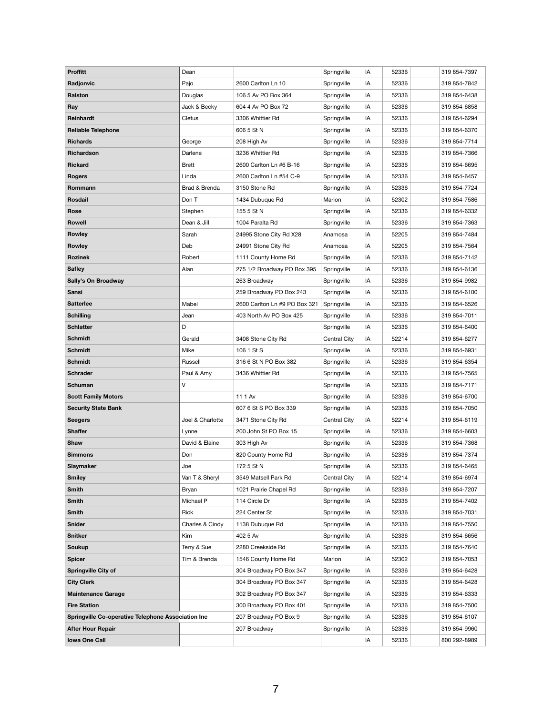| <b>Proffitt</b>                                           | Dean             |                               | Springville  | IA | 52336 | 319 854-7397 |
|-----------------------------------------------------------|------------------|-------------------------------|--------------|----|-------|--------------|
| Radjonvic                                                 | Pajo             | 2600 Carlton Ln 10            | Springville  | IA | 52336 | 319 854-7842 |
| <b>Ralston</b>                                            | Douglas          | 106 5 Av PO Box 364           | Springville  | IA | 52336 | 319 854-6438 |
| Ray                                                       | Jack & Becky     | 604 4 Av PO Box 72            | Springville  | IA | 52336 | 319 854-6858 |
| <b>Reinhardt</b>                                          | Cletus           | 3306 Whittier Rd              | Springville  | IA | 52336 | 319 854-6294 |
| <b>Reliable Telephone</b>                                 |                  | 606 5 St N                    | Springville  | IA | 52336 | 319 854-6370 |
| <b>Richards</b>                                           | George           | 208 High Av                   | Springville  | IA | 52336 | 319 854-7714 |
| Richardson                                                | Darlene          | 3236 Whittier Rd              |              |    |       |              |
|                                                           |                  |                               | Springville  | IA | 52336 | 319 854-7366 |
| <b>Rickard</b>                                            | <b>Brett</b>     | 2600 Carlton Ln #6 B-16       | Springville  | IA | 52336 | 319 854-6695 |
| <b>Rogers</b>                                             | Linda            | 2600 Carlton Ln #54 C-9       | Springville  | IA | 52336 | 319 854-6457 |
| Rommann                                                   | Brad & Brenda    | 3150 Stone Rd                 | Springville  | IA | 52336 | 319 854-7724 |
| <b>Rosdail</b>                                            | Don T            | 1434 Dubuque Rd               | Marion       | IA | 52302 | 319 854-7586 |
| <b>Rose</b>                                               | Stephen          | 155 5 St N                    | Springville  | IA | 52336 | 319 854-6332 |
| <b>Rowell</b>                                             | Dean & Jill      | 1004 Paralta Rd               | Springville  | IA | 52336 | 319 854-7363 |
| <b>Rowley</b>                                             | Sarah            | 24995 Stone City Rd X28       | Anamosa      | IA | 52205 | 319 854-7484 |
| <b>Rowley</b>                                             | Deb              | 24991 Stone City Rd           | Anamosa      | IA | 52205 | 319 854-7564 |
| <b>Rozinek</b>                                            | Robert           | 1111 County Home Rd           | Springville  | IA | 52336 | 319 854-7142 |
| <b>Safley</b>                                             | Alan             | 275 1/2 Broadway PO Box 395   | Springville  | IA | 52336 | 319 854-6136 |
| Sally's On Broadway                                       |                  | 263 Broadway                  | Springville  | IA | 52336 | 319 854-9982 |
| <b>Sansi</b>                                              |                  | 259 Broadway PO Box 243       | Springville  | IA | 52336 | 319 854-6100 |
| <b>Satterlee</b>                                          | Mabel            | 2600 Carlton Ln #9 PO Box 321 | Springville  | IA | 52336 | 319 854-6526 |
| <b>Schilling</b>                                          | Jean             | 403 North Av PO Box 425       | Springville  | IA | 52336 | 319 854-7011 |
| <b>Schlatter</b>                                          | D                |                               | Springville  | IA | 52336 | 319 854-6400 |
| <b>Schmidt</b>                                            | Gerald           | 3408 Stone City Rd            | Central City | IA | 52214 | 319 854-6277 |
| <b>Schmidt</b>                                            | Mike             | 106 1 St S                    | Springville  | IA | 52336 | 319 854-6931 |
| <b>Schmidt</b>                                            | Russell          | 316 6 St N PO Box 382         | Springville  | IA | 52336 | 319 854-6354 |
| <b>Schrader</b>                                           | Paul & Amy       | 3436 Whittier Rd              | Springville  | IA | 52336 | 319 854-7565 |
| <b>Schuman</b>                                            | V                |                               | Springville  | IA | 52336 | 319 854-7171 |
| <b>Scott Family Motors</b>                                |                  | 11 1 Av                       | Springville  | IA | 52336 | 319 854-6700 |
| <b>Security State Bank</b>                                |                  | 607 6 St S PO Box 339         | Springville  | IA | 52336 | 319 854-7050 |
| <b>Seegers</b>                                            | Joel & Charlotte | 3471 Stone City Rd            | Central City | IA | 52214 | 319 854-6119 |
| <b>Shaffer</b>                                            | Lynne            | 200 John St PO Box 15         | Springville  | IA | 52336 | 319 854-6603 |
| <b>Shaw</b>                                               | David & Elaine   | 303 High Av                   | Springville  | IA | 52336 | 319 854-7368 |
| <b>Simmons</b>                                            | Don              | 820 County Home Rd            | Springville  | IA | 52336 | 319 854-7374 |
| Slaymaker                                                 | Joe              | 172 5 St N                    | Springville  | IA | 52336 | 319 854-6465 |
| <b>Smiley</b>                                             | Van T & Sheryl   | 3549 Matsell Park Rd          | Central City | IA | 52214 | 319 854-6974 |
| <b>Smith</b>                                              | Bryan            | 1021 Prairie Chapel Rd        | Springville  | IA | 52336 | 319 854-7207 |
| <b>Smith</b>                                              | Michael P        | 114 Circle Dr                 | Springville  | IA | 52336 | 319 854-7402 |
| <b>Smith</b>                                              | Rick             | 224 Center St                 | Springville  | IA | 52336 | 319 854-7031 |
| <b>Snider</b>                                             | Charles & Cindy  | 1138 Dubuque Rd               | Springville  | IA | 52336 | 319 854-7550 |
| <b>Snitker</b>                                            | Kim              | 402 5 Av                      | Springville  | IA | 52336 | 319 854-6656 |
| <b>Soukup</b>                                             | Terry & Sue      | 2280 Creekside Rd             | Springville  | IA | 52336 | 319 854-7640 |
| <b>Spicer</b>                                             | Tim & Brenda     | 1546 County Home Rd           | Marion       | IA | 52302 | 319 854-7053 |
| <b>Springville City of</b>                                |                  | 304 Broadway PO Box 347       | Springville  | IA | 52336 | 319 854-6428 |
| <b>City Clerk</b>                                         |                  | 304 Broadway PO Box 347       | Springville  | IA | 52336 | 319 854-6428 |
| <b>Maintenance Garage</b>                                 |                  | 302 Broadway PO Box 347       | Springville  | IA | 52336 | 319 854-6333 |
| <b>Fire Station</b>                                       |                  | 300 Broadway PO Box 401       | Springville  | IA | 52336 | 319 854-7500 |
| <b>Springville Co-operative Telephone Association Inc</b> |                  | 207 Broadway PO Box 9         | Springville  | IA | 52336 | 319 854-6107 |
| <b>After Hour Repair</b>                                  |                  | 207 Broadway                  | Springville  | IA | 52336 | 319 854-9960 |
| <b>Iowa One Call</b>                                      |                  |                               |              | IA | 52336 | 800 292-8989 |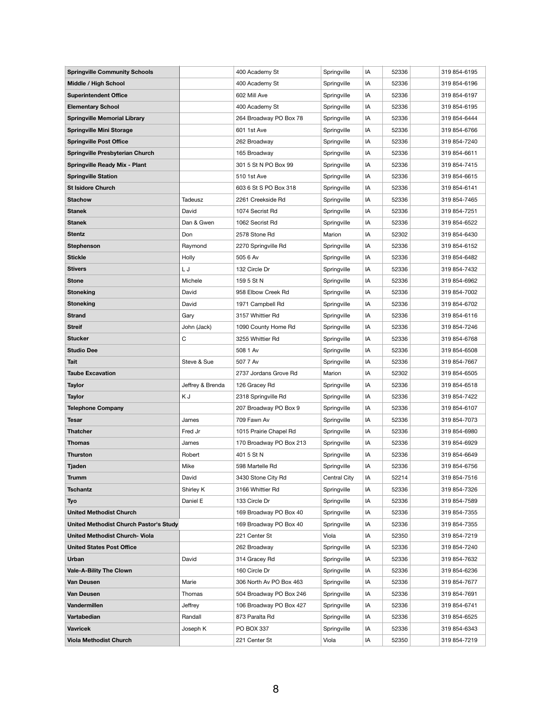| <b>Springville Community Schools</b>   |                  | 400 Academy St          | Springville  | IA | 52336 | 319 854-6195 |
|----------------------------------------|------------------|-------------------------|--------------|----|-------|--------------|
| <b>Middle / High School</b>            |                  | 400 Academy St          | Springville  | IA | 52336 | 319 854-6196 |
| <b>Superintendent Office</b>           |                  | 602 Mill Ave            | Springville  | IA | 52336 | 319 854-6197 |
| <b>Elementary School</b>               |                  | 400 Academy St          | Springville  | IA | 52336 | 319 854-6195 |
| <b>Springville Memorial Library</b>    |                  | 264 Broadway PO Box 78  | Springville  | IA | 52336 | 319 854-6444 |
| <b>Springville Mini Storage</b>        |                  | 601 1st Ave             | Springville  | IA | 52336 | 319 854-6766 |
| <b>Springville Post Office</b>         |                  | 262 Broadway            | Springville  | IA | 52336 | 319 854-7240 |
| <b>Springville Presbyterian Church</b> |                  | 165 Broadway            | Springville  | IA | 52336 | 319 854-6611 |
| <b>Springville Ready Mix - Plant</b>   |                  | 301 5 St N PO Box 99    | Springville  | IA | 52336 | 319 854-7415 |
| <b>Springville Station</b>             |                  | 510 1st Ave             | Springville  | IA | 52336 | 319 854-6615 |
| <b>St Isidore Church</b>               |                  | 603 6 St S PO Box 318   | Springville  | IA | 52336 | 319 854-6141 |
| <b>Stachow</b>                         | Tadeusz          | 2261 Creekside Rd       | Springville  | IA | 52336 | 319 854-7465 |
| <b>Stanek</b>                          | David            | 1074 Secrist Rd         | Springville  | IA | 52336 | 319 854-7251 |
| <b>Stanek</b>                          | Dan & Gwen       | 1062 Secrist Rd         | Springville  | IA | 52336 | 319 854-6522 |
| <b>Stentz</b>                          | Don              | 2578 Stone Rd           | Marion       | IA | 52302 | 319 854-6430 |
| <b>Stephenson</b>                      | Raymond          | 2270 Springville Rd     | Springville  | IA | 52336 | 319 854-6152 |
| <b>Stickle</b>                         | Holly            | 505 6 Av                | Springville  | IA | 52336 | 319 854-6482 |
| <b>Stivers</b>                         | LJ               | 132 Circle Dr           | Springville  | IA | 52336 | 319 854-7432 |
| <b>Stone</b>                           | Michele          | 159 5 St N              | Springville  | IA | 52336 | 319 854-6962 |
| <b>Stoneking</b>                       | David            | 958 Elbow Creek Rd      | Springville  | IA | 52336 | 319 854-7002 |
| <b>Stoneking</b>                       | David            | 1971 Campbell Rd        | Springville  | IA | 52336 | 319 854-6702 |
| <b>Strand</b>                          | Gary             | 3157 Whittier Rd        | Springville  | IA | 52336 | 319 854-6116 |
| <b>Streif</b>                          | John (Jack)      | 1090 County Home Rd     | Springville  | IA | 52336 | 319 854-7246 |
| <b>Stucker</b>                         | C                | 3255 Whittier Rd        | Springville  | IA | 52336 | 319 854-6768 |
| <b>Studio Dee</b>                      |                  | 508 1 Av                | Springville  | IA | 52336 | 319 854-6508 |
| <b>Tait</b>                            | Steve & Sue      | 507 7 Av                | Springville  | IA | 52336 | 319 854-7667 |
| <b>Taube Excavation</b>                |                  | 2737 Jordans Grove Rd   | Marion       | IA | 52302 | 319 854-6505 |
| <b>Taylor</b>                          | Jeffrey & Brenda | 126 Gracey Rd           | Springville  | IA | 52336 | 319 854-6518 |
| <b>Taylor</b>                          | K J              | 2318 Springville Rd     | Springville  | IA | 52336 | 319 854-7422 |
| <b>Telephone Company</b>               |                  | 207 Broadway PO Box 9   | Springville  | IA | 52336 | 319 854-6107 |
| <b>Tesar</b>                           | James            | 709 Fawn Av             | Springville  | IA | 52336 | 319 854-7073 |
| <b>Thatcher</b>                        | Fred Jr          | 1015 Prairie Chapel Rd  | Springville  | IA | 52336 | 319 854-6980 |
| <b>Thomas</b>                          | James            | 170 Broadway PO Box 213 | Springville  | IA | 52336 | 319 854-6929 |
| <b>Thurston</b>                        | Robert           | 401 5 St N              | Springville  | IA | 52336 | 319 854-6649 |
| <b>Tjaden</b>                          | Mike             | 598 Martelle Rd         | Springville  | IA | 52336 | 319 854-6756 |
| <b>Trumm</b>                           | David            | 3430 Stone City Rd      | Central City | IA | 52214 | 319 854-7516 |
| <b>Tschantz</b>                        | Shirley K        | 3166 Whittier Rd        | Springville  | IA | 52336 | 319 854-7326 |
| <b>Tyo</b>                             | Daniel E         | 133 Circle Dr           | Springville  | IA | 52336 | 319 854-7589 |
| <b>United Methodist Church</b>         |                  | 169 Broadway PO Box 40  | Springville  | IA | 52336 | 319 854-7355 |
| United Methodist Church Pastor's Study |                  | 169 Broadway PO Box 40  | Springville  | IA | 52336 | 319 854-7355 |
| <b>United Methodist Church- Viola</b>  |                  | 221 Center St           | Viola        | IA | 52350 | 319 854-7219 |
| <b>United States Post Office</b>       |                  | 262 Broadway            | Springville  | IA | 52336 | 319 854-7240 |
| <b>Urban</b>                           | David            | 314 Gracey Rd           | Springville  | IA | 52336 | 319 854-7632 |
| <b>Vale-A-Bility The Clown</b>         |                  | 160 Circle Dr           | Springville  | IA | 52336 | 319 854-6236 |
| <b>Van Deusen</b>                      | Marie            | 306 North Av PO Box 463 | Springville  | ΙA | 52336 | 319 854-7677 |
| <b>Van Deusen</b>                      | Thomas           | 504 Broadway PO Box 246 | Springville  | IA | 52336 | 319 854-7691 |
| Vandermillen                           |                  |                         |              |    |       |              |
|                                        | Jeffrey          | 106 Broadway PO Box 427 | Springville  | IA | 52336 | 319 854-6741 |
| Vartabedian                            | Randall          | 873 Paralta Rd          | Springville  | ΙA | 52336 | 319 854-6525 |
| <b>Vavricek</b>                        | Joseph K         | PO BOX 337              | Springville  | IA | 52336 | 319 854-6343 |